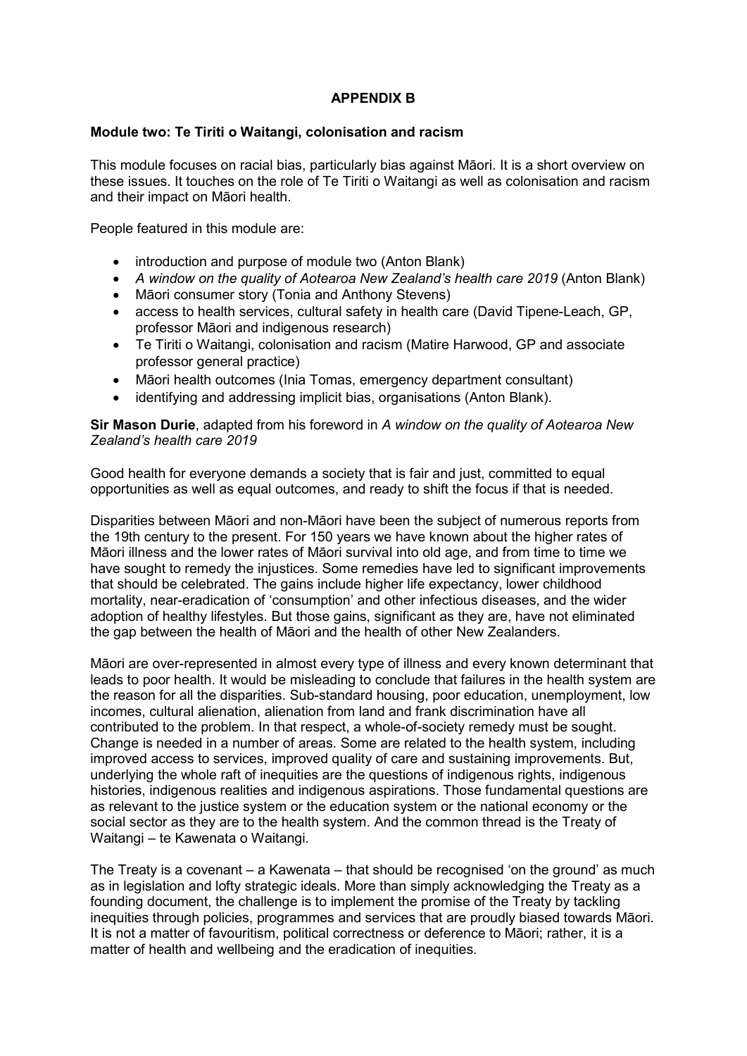# **APPENDIX B**

### **Module two: Te Tiriti o Waitangi, colonisation and racism**

This module focuses on racial bias, particularly bias against Māori. It is a short overview on these issues. It touches on the role of Te Tiriti o Waitangi as well as colonisation and racism and their impact on Māori health.

People featured in this module are:

- introduction and purpose of module two (Anton Blank)
- *A window on the quality of Aotearoa New Zealand's health care 2019* (Anton Blank)
- Māori consumer story (Tonia and Anthony Stevens)
- access to health services, cultural safety in health care (David Tipene-Leach, GP, professor Māori and indigenous research)
- Te Tiriti o Waitangi, colonisation and racism (Matire Harwood, GP and associate professor general practice)
- Māori health outcomes (Inia Tomas, emergency department consultant)
- identifying and addressing implicit bias, organisations (Anton Blank).

**Sir Mason Durie**, adapted from his foreword in *A window on the quality of Aotearoa New Zealand's health care 2019*

Good health for everyone demands a society that is fair and just, committed to equal opportunities as well as equal outcomes, and ready to shift the focus if that is needed.

Disparities between Māori and non-Māori have been the subject of numerous reports from the 19th century to the present. For 150 years we have known about the higher rates of Māori illness and the lower rates of Māori survival into old age, and from time to time we have sought to remedy the injustices. Some remedies have led to significant improvements that should be celebrated. The gains include higher life expectancy, lower childhood mortality, near-eradication of 'consumption' and other infectious diseases, and the wider adoption of healthy lifestyles. But those gains, significant as they are, have not eliminated the gap between the health of Māori and the health of other New Zealanders.

Māori are over-represented in almost every type of illness and every known determinant that leads to poor health. It would be misleading to conclude that failures in the health system are the reason for all the disparities. Sub-standard housing, poor education, unemployment, low incomes, cultural alienation, alienation from land and frank discrimination have all contributed to the problem. In that respect, a whole-of-society remedy must be sought. Change is needed in a number of areas. Some are related to the health system, including improved access to services, improved quality of care and sustaining improvements. But, underlying the whole raft of inequities are the questions of indigenous rights, indigenous histories, indigenous realities and indigenous aspirations. Those fundamental questions are as relevant to the justice system or the education system or the national economy or the social sector as they are to the health system. And the common thread is the Treaty of Waitangi – te Kawenata o Waitangi.

The Treaty is a covenant – a Kawenata – that should be recognised 'on the ground' as much as in legislation and lofty strategic ideals. More than simply acknowledging the Treaty as a founding document, the challenge is to implement the promise of the Treaty by tackling inequities through policies, programmes and services that are proudly biased towards Māori. It is not a matter of favouritism, political correctness or deference to Māori; rather, it is a matter of health and wellbeing and the eradication of inequities.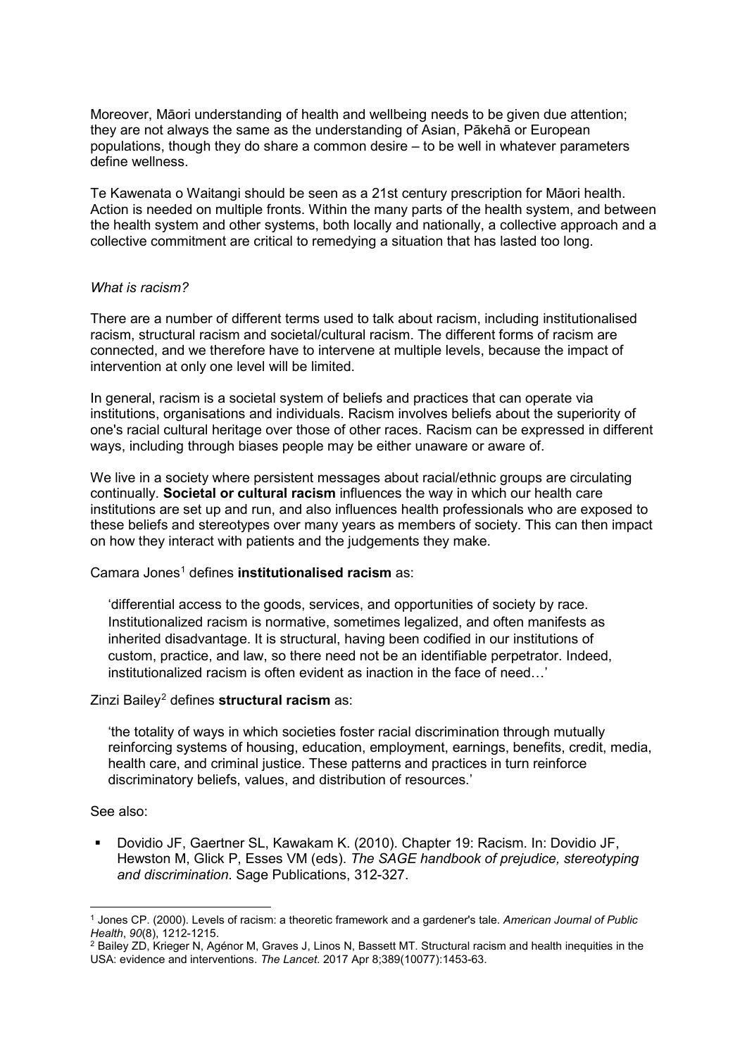Moreover, Māori understanding of health and wellbeing needs to be given due attention; they are not always the same as the understanding of Asian, Pākehā or European populations, though they do share a common desire – to be well in whatever parameters define wellness.

Te Kawenata o Waitangi should be seen as a 21st century prescription for Māori health. Action is needed on multiple fronts. Within the many parts of the health system, and between the health system and other systems, both locally and nationally, a collective approach and a collective commitment are critical to remedying a situation that has lasted too long.

### *What is racism?*

There are a number of different terms used to talk about racism, including institutionalised racism, structural racism and societal/cultural racism. The different forms of racism are connected, and we therefore have to intervene at multiple levels, because the impact of intervention at only one level will be limited.

In general, racism is a societal system of beliefs and practices that can operate via institutions, organisations and individuals. Racism involves beliefs about the superiority of one's racial cultural heritage over those of other races. Racism can be expressed in different ways, including through biases people may be either unaware or aware of.

We live in a society where persistent messages about racial/ethnic groups are circulating continually. **Societal or cultural racism** influences the way in which our health care institutions are set up and run, and also influences health professionals who are exposed to these beliefs and stereotypes over many years as members of society. This can then impact on how they interact with patients and the judgements they make.

Camara Jones<sup>[1](#page-1-0)</sup> defines **institutionalised racism** as:

'differential access to the goods, services, and opportunities of society by race. Institutionalized racism is normative, sometimes legalized, and often manifests as inherited disadvantage. It is structural, having been codified in our institutions of custom, practice, and law, so there need not be an identifiable perpetrator. Indeed, institutionalized racism is often evident as inaction in the face of need…'

## Zinzi Bailey[2](#page-1-1) defines **structural racism** as:

'the totality of ways in which societies foster racial discrimination through mutually reinforcing systems of housing, education, employment, earnings, benefits, credit, media, health care, and criminal justice. These patterns and practices in turn reinforce discriminatory beliefs, values, and distribution of resources.'

#### See also:

 Dovidio JF, Gaertner SL, Kawakam K. (2010). Chapter 19: Racism. In: Dovidio JF, Hewston M, Glick P, Esses VM (eds). *The SAGE handbook of prejudice, stereotyping and discrimination*. Sage Publications, 312-327.

<span id="page-1-0"></span> $\overline{a}$ <sup>1</sup> Jones CP. (2000). Levels of racism: a theoretic framework and a gardener's tale. *American Journal of Public Health*, *90*(8), 1212-1215.

<span id="page-1-1"></span><sup>2</sup> Bailey ZD, Krieger N, Agénor M, Graves J, Linos N, Bassett MT. Structural racism and health inequities in the USA: evidence and interventions. *The Lancet*. 2017 Apr 8;389(10077):1453-63.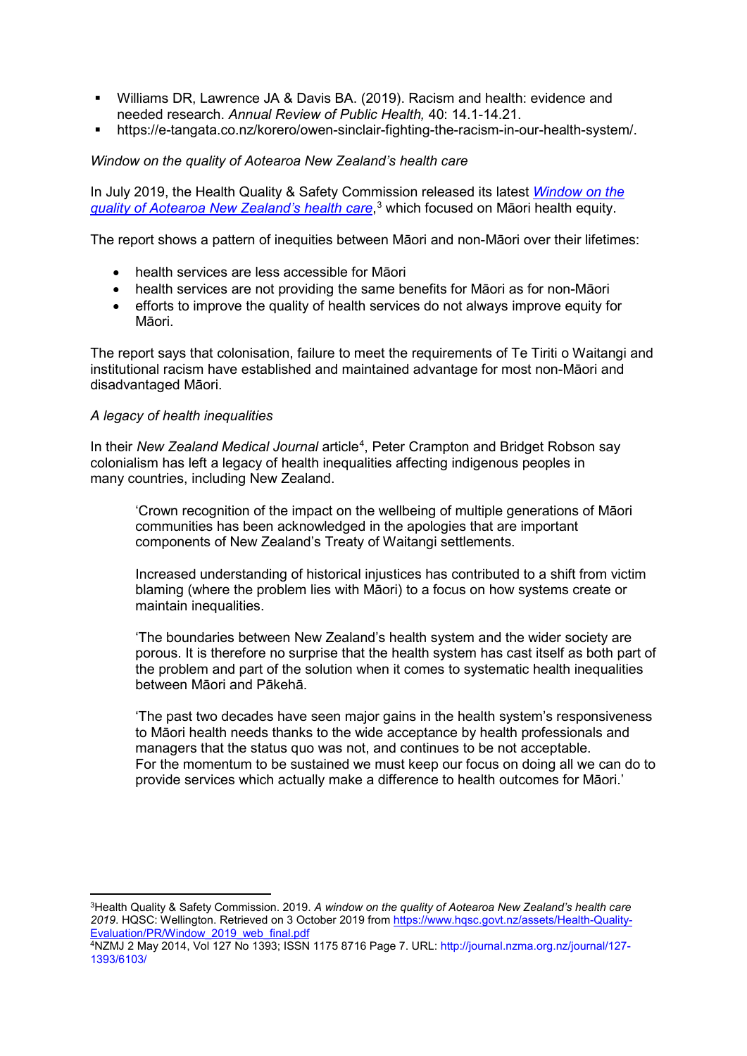- Williams DR, Lawrence JA & Davis BA. (2019). Racism and health: evidence and needed research. *Annual Review of Public Health,* 40: 14.1-14.21.
- https://e-tangata.co.nz/korero/owen-sinclair-fighting-the-racism-in-our-health-system/.

### *Window on the quality of Aotearoa New Zealand's health care*

In July 2019, the Health Quality & Safety Commission released its latest *[Window on the](https://www.hqsc.govt.nz/assets/Health-Quality-Evaluation/PR/Window_2019_web_final.pdf)  [quality of Aotearoa New Zealand's health care](https://www.hqsc.govt.nz/assets/Health-Quality-Evaluation/PR/Window_2019_web_final.pdf)*, [3](#page-2-0) which focused on Māori health equity.

The report shows a pattern of inequities between Māori and non-Māori over their lifetimes:

- health services are less accessible for Māori
- health services are not providing the same benefits for Māori as for non-Māori
- efforts to improve the quality of health services do not always improve equity for Māori.

The report says that colonisation, failure to meet the requirements of Te Tiriti o Waitangi and institutional racism have established and maintained advantage for most non-Māori and disadvantaged Māori.

#### *A legacy of health inequalities*

<u>.</u>

In their New Zealand Medical Journal article<sup>[4](#page-2-1)</sup>, Peter Crampton and Bridget Robson say colonialism has left a legacy of health inequalities affecting indigenous peoples in many countries, including New Zealand.

'Crown recognition of the impact on the wellbeing of multiple generations of Māori communities has been acknowledged in the apologies that are important components of New Zealand's Treaty of Waitangi settlements.

Increased understanding of historical injustices has contributed to a shift from victim blaming (where the problem lies with Māori) to a focus on how systems create or maintain inequalities.

'The boundaries between New Zealand's health system and the wider society are porous. It is therefore no surprise that the health system has cast itself as both part of the problem and part of the solution when it comes to systematic health inequalities between Māori and Pākehā.

'The past two decades have seen major gains in the health system's responsiveness to Māori health needs thanks to the wide acceptance by health professionals and managers that the status quo was not, and continues to be not acceptable. For the momentum to be sustained we must keep our focus on doing all we can do to provide services which actually make a difference to health outcomes for Māori.'

<span id="page-2-0"></span><sup>3</sup>Health Quality & Safety Commission. 2019. *A window on the quality of Aotearoa New Zealand's health care 2019*. HQSC: Wellington. Retrieved on 3 October 2019 from [https://www.hqsc.govt.nz/assets/Health](https://www.hqsc.govt.nz/assets/Health-Quality-Evaluation/PR/Window_2019_web_final.pdf)-Quality-[Evaluation/PR/Window\\_2019\\_web\\_final.pdf](https://www.hqsc.govt.nz/assets/Health-Quality-Evaluation/PR/Window_2019_web_final.pdf)

<span id="page-2-1"></span><sup>4</sup>NZMJ 2 May 2014, Vol 127 No 1393; ISSN 1175 8716 Page 7. URL: http://journal.nzma.org.nz/journal/127- 1393/6103/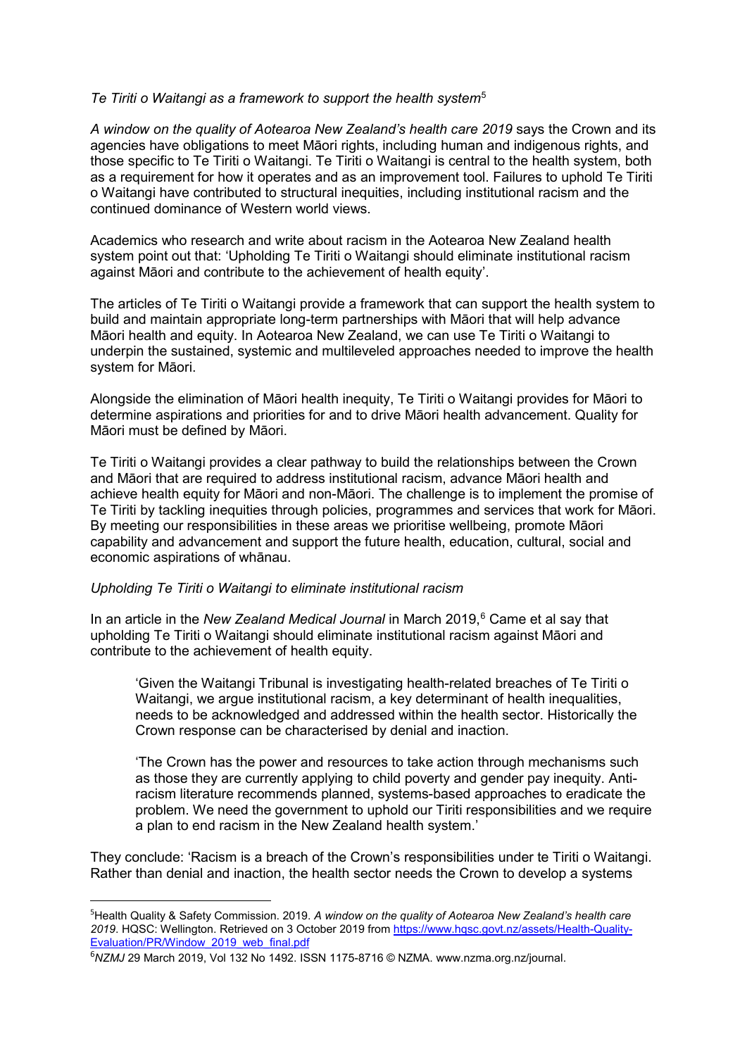#### *Te Tiriti o Waitangi as a framework to support the health system*[5](#page-3-0)

*A window on the quality of Aotearoa New Zealand's health care 2019* says the Crown and its agencies have obligations to meet Māori rights, including human and indigenous rights, and those specific to Te Tiriti o Waitangi. Te Tiriti o Waitangi is central to the health system, both as a requirement for how it operates and as an improvement tool. Failures to uphold Te Tiriti o Waitangi have contributed to structural inequities, including institutional racism and the continued dominance of Western world views.

Academics who research and write about racism in the Aotearoa New Zealand health system point out that: 'Upholding Te Tiriti o Waitangi should eliminate institutional racism against Māori and contribute to the achievement of health equity'.

The articles of Te Tiriti o Waitangi provide a framework that can support the health system to build and maintain appropriate long-term partnerships with Māori that will help advance Māori health and equity. In Aotearoa New Zealand, we can use Te Tiriti o Waitangi to underpin the sustained, systemic and multileveled approaches needed to improve the health system for Māori.

Alongside the elimination of Māori health inequity, Te Tiriti o Waitangi provides for Māori to determine aspirations and priorities for and to drive Māori health advancement. Quality for Māori must be defined by Māori.

Te Tiriti o Waitangi provides a clear pathway to build the relationships between the Crown and Māori that are required to address institutional racism, advance Māori health and achieve health equity for Māori and non-Māori. The challenge is to implement the promise of Te Tiriti by tackling inequities through policies, programmes and services that work for Māori. By meeting our responsibilities in these areas we prioritise wellbeing, promote Māori capability and advancement and support the future health, education, cultural, social and economic aspirations of whānau.

## *Upholding Te Tiriti o Waitangi to eliminate institutional racism*

In an article in the *New Zealand Medical Journal* in March 2019, [6](#page-3-1) Came et al say that upholding Te Tiriti o Waitangi should eliminate institutional racism against Māori and contribute to the achievement of health equity.

'Given the Waitangi Tribunal is investigating health-related breaches of Te Tiriti o Waitangi, we argue institutional racism, a key determinant of health inequalities, needs to be acknowledged and addressed within the health sector. Historically the Crown response can be characterised by denial and inaction.

'The Crown has the power and resources to take action through mechanisms such as those they are currently applying to child poverty and gender pay inequity. Antiracism literature recommends planned, systems-based approaches to eradicate the problem. We need the government to uphold our Tiriti responsibilities and we require a plan to end racism in the New Zealand health system.'

They conclude: 'Racism is a breach of the Crown's responsibilities under te Tiriti o Waitangi. Rather than denial and inaction, the health sector needs the Crown to develop a systems

<span id="page-3-0"></span><sup>–&</sup>lt;br>5 <sup>5</sup> Health Quality & Safety Commission. 2019. A window on the quality of Aotearoa New Zealand's health care *2019*. HQSC: Wellington. Retrieved on 3 October 2019 fro[m https://www.hqsc.govt.nz/assets/Health](https://www.hqsc.govt.nz/assets/Health-Quality-Evaluation/PR/Window_2019_web_final.pdf)-Quality-[Evaluation/PR/Window\\_2019\\_web\\_final.pdf](https://www.hqsc.govt.nz/assets/Health-Quality-Evaluation/PR/Window_2019_web_final.pdf)

<span id="page-3-1"></span><sup>6</sup> *NZMJ* 29 March 2019, Vol 132 No 1492. ISSN 1175-8716 © NZMA. www.nzma.org.nz/journal.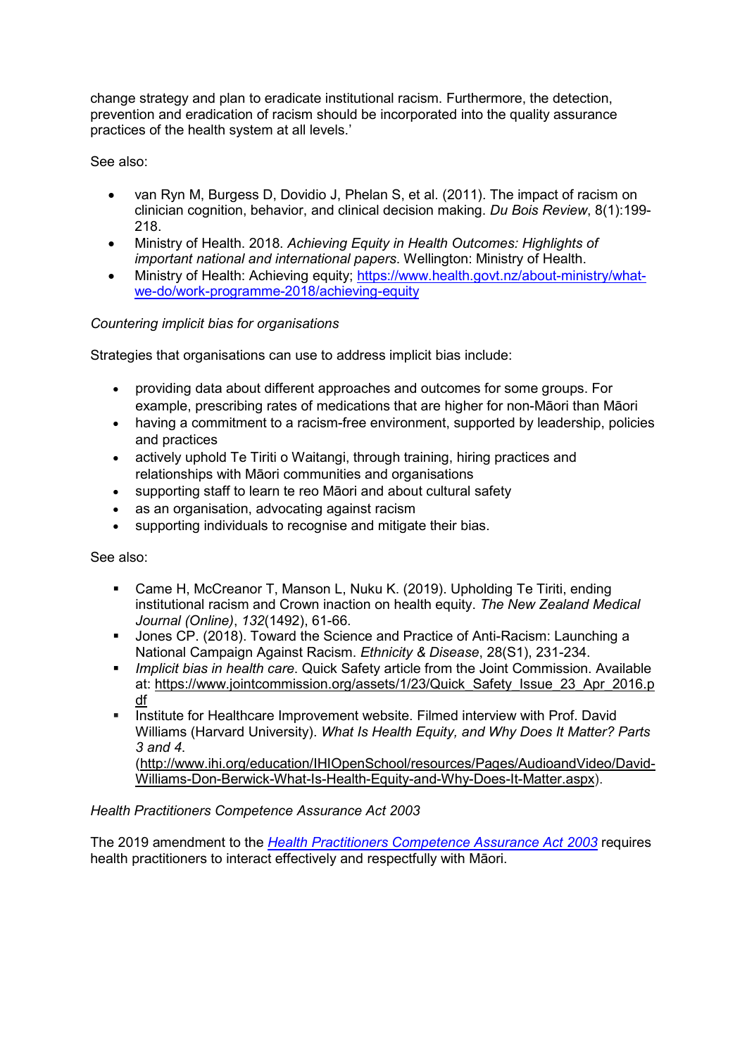change strategy and plan to eradicate institutional racism. Furthermore, the detection, prevention and eradication of racism should be incorporated into the quality assurance practices of the health system at all levels.'

See also:

- van Ryn M, Burgess D, Dovidio J, Phelan S, et al. (2011). The impact of racism on clinician cognition, behavior, and clinical decision making. *Du Bois Review*, 8(1):199- 218.
- Ministry of Health. 2018. *Achieving Equity in Health Outcomes: Highlights of important national and international papers*. Wellington: Ministry of Health.
- Ministry of Health: Achieving equity; [https://www.health.govt.nz/about](https://www.health.govt.nz/about-ministry/what-we-do/work-programme-2018/achieving-equity)-ministry/what[we-do/work-programme-](https://www.health.govt.nz/about-ministry/what-we-do/work-programme-2018/achieving-equity)2018/achieving-equity

# *Countering implicit bias for organisations*

Strategies that organisations can use to address implicit bias include:

- providing data about different approaches and outcomes for some groups. For example, prescribing rates of medications that are higher for non-Māori than Māori
- having a commitment to a racism-free environment, supported by leadership, policies and practices
- actively uphold Te Tiriti o Waitangi, through training, hiring practices and relationships with Māori communities and organisations
- supporting staff to learn te reo Māori and about cultural safety
- as an organisation, advocating against racism
- supporting individuals to recognise and mitigate their bias.

See also:

- Came H, McCreanor T, Manson L, Nuku K. (2019). Upholding Te Tiriti, ending institutional racism and Crown inaction on health equity. *The New Zealand Medical Journal (Online)*, *132*(1492), 61-66.
- Jones CP. (2018). Toward the Science and Practice of Anti-Racism: Launching a National Campaign Against Racism. *Ethnicity & Disease*, 28(S1), 231-234.
- *Implicit bias in health care*. Quick Safety article from the Joint Commission. Available at: [https://www.jointcommission.org/assets/1/23/Quick\\_Safety\\_Issue\\_23\\_Apr\\_2016.p](https://www.jointcommission.org/assets/1/23/Quick_Safety_Issue_23_Apr_2016.pdf) <u>[df](https://www.jointcommission.org/assets/1/23/Quick_Safety_Issue_23_Apr_2016.pdf)</u>
- Institute for Healthcare Improvement website. Filmed interview with Prof. David Williams (Harvard University). *What Is Health Equity, and Why Does It Matter? Parts 3 and 4*. ([http://www.ihi.org/education/IHIOpenSchool/resources/Pages/AudioandVideo/David](http://www.ihi.org/education/IHIOpenSchool/resources/Pages/AudioandVideo/David-Williams-Don-Berwick-What-Is-Health-Equity-and-Why-Does-It-Matter.aspx)-

Williams[-Don-Berwick-](http://www.ihi.org/education/IHIOpenSchool/resources/Pages/AudioandVideo/David-Williams-Don-Berwick-What-Is-Health-Equity-and-Why-Does-It-Matter.aspx)What-Is-Health-Equity-and-Why-Does-It-Matter.aspx).

## *Health Practitioners Competence Assurance Act 2003*

The 2019 amendment to the *[Health Practitioners Competence Assurance Act 2003](http://legislation.govt.nz/act/public/2003/0048/latest/DLM203319.html)* requires health practitioners to interact effectively and respectfully with Māori.